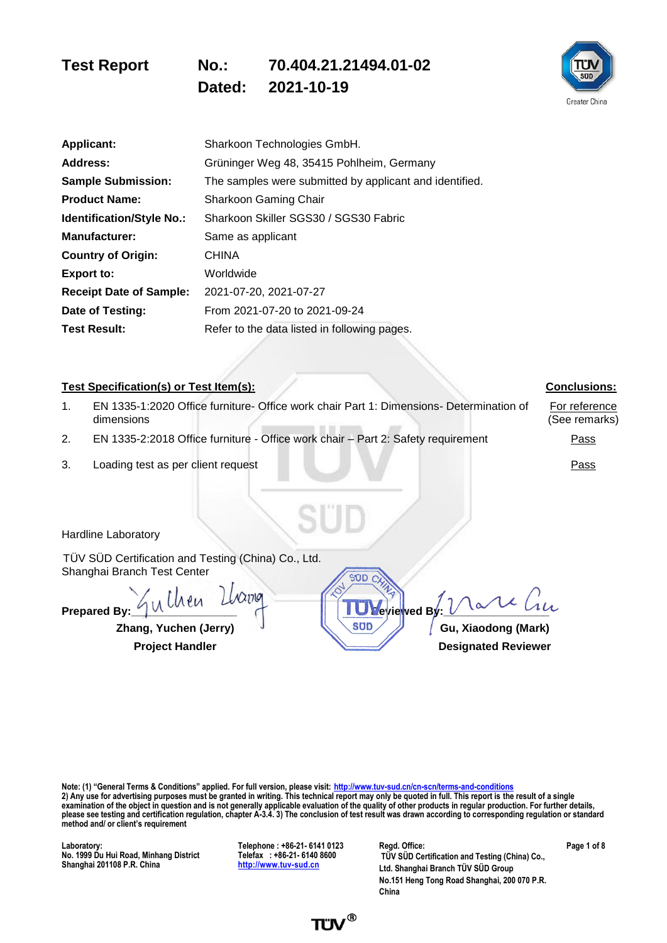**Dated: 2021-10-19**



| <b>Applicant:</b>                | Sharkoon Technologies GmbH.                             |
|----------------------------------|---------------------------------------------------------|
| Address:                         | Grüninger Weg 48, 35415 Pohlheim, Germany               |
| <b>Sample Submission:</b>        | The samples were submitted by applicant and identified. |
| <b>Product Name:</b>             | Sharkoon Gaming Chair                                   |
| <b>Identification/Style No.:</b> | Sharkoon Skiller SGS30 / SGS30 Fabric                   |
| <b>Manufacturer:</b>             | Same as applicant                                       |
| <b>Country of Origin:</b>        | <b>CHINA</b>                                            |
| Export to:                       | Worldwide                                               |
| <b>Receipt Date of Sample:</b>   | 2021-07-20, 2021-07-27                                  |
| Date of Testing:                 | From 2021-07-20 to 2021-09-24                           |
| <b>Test Result:</b>              | Refer to the data listed in following pages.            |
|                                  |                                                         |

#### **Test Specification(s) or Test Item(s): Conclusions: Conclusions: Conclusions:** 1. EN 1335-1:2020 Office furniture- Office work chair Part 1: Dimensions- Determination of dimensions

- 2. EN 1335-2:2018 Office furniture Office work chair Part 2: Safety requirement Pass
- 3. Loading test as per client request Pass

For reference

(See remarks)

Hardline Laboratory

TÜV SÜD Certification and Testing (China) Co., Ltd. Shanghai Branch Test Center

Prepared By:  $\frac{1}{4}$ u lhen Llvang **Reviewed B**  $\chi$ 217191

**Zhang, Yuchen (Jerry) J Gu, Xiaodong (Mark)** 

**Project Handler Designated Reviewer** 

**Note: (1) "General Terms & Conditions" applied. For full version, please visit: <http://www.tuv-sud.cn/cn-scn/terms-and-conditions> 2) Any use for advertising purposes must be granted in writing. This technical report may only be quoted in full. This report is the result of a single examination of the object in question and is not generally applicable evaluation of the quality of other products in regular production. For further details, please see testing and certification regulation, chapter A-3.4. 3) The conclusion of test result was drawn according to corresponding regulation or standard method and/ or client's requirement**

 $STID$ 

**Laboratory: No. 1999 Du Hui Road, Minhang District Shanghai 201108 P.R. China**

**Telephone : +86-21- 6141 0123 Telefax : +86-21- 6140 8600 [http://www.tuv-sud.cn](http://www.tuvps.com.cn/)**

**Regd. Office: TÜV SÜD Certification and Testing (China) Co., Ltd. Shanghai Branch TÜV SÜD Group No.151 Heng Tong Road Shanghai, 200 070 P.R. China**

**Page 1 of 8**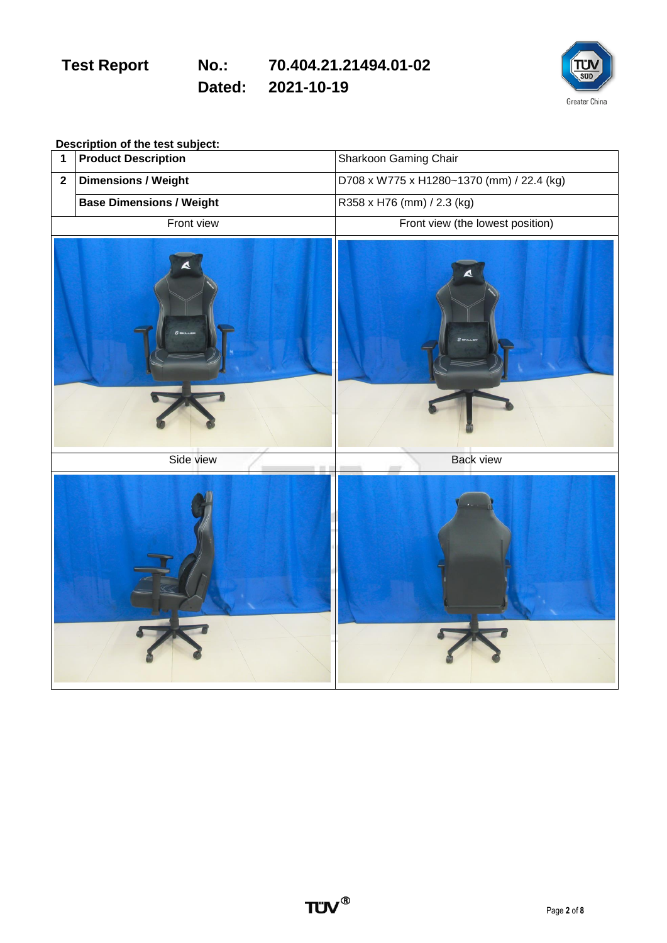**Dated: 2021-10-19**



**Description of the test subject:**

| 1            | <b>Product Description</b>      | Sharkoon Gaming Chair                     |
|--------------|---------------------------------|-------------------------------------------|
| $\mathbf{2}$ | <b>Dimensions / Weight</b>      | D708 x W775 x H1280~1370 (mm) / 22.4 (kg) |
|              | <b>Base Dimensions / Weight</b> | R358 x H76 (mm) / 2.3 (kg)                |
|              | Front view                      | Front view (the lowest position)          |
|              | A                               | $8$ models                                |
|              | Side view<br>$\frac{1}{2}$      | <b>Back view</b><br>m                     |
|              |                                 |                                           |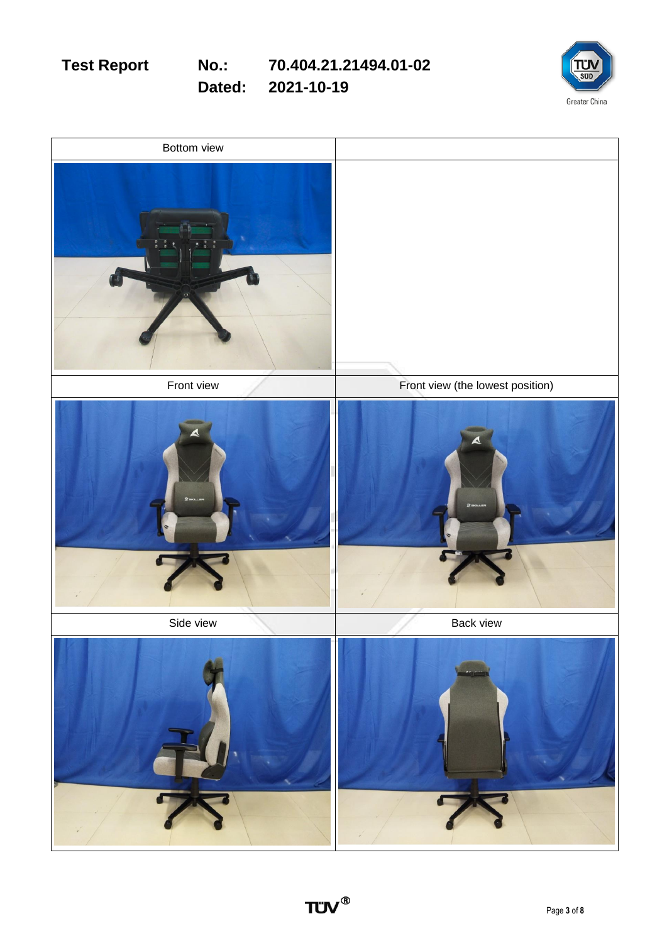Greater China

**Dated: 2021-10-19**

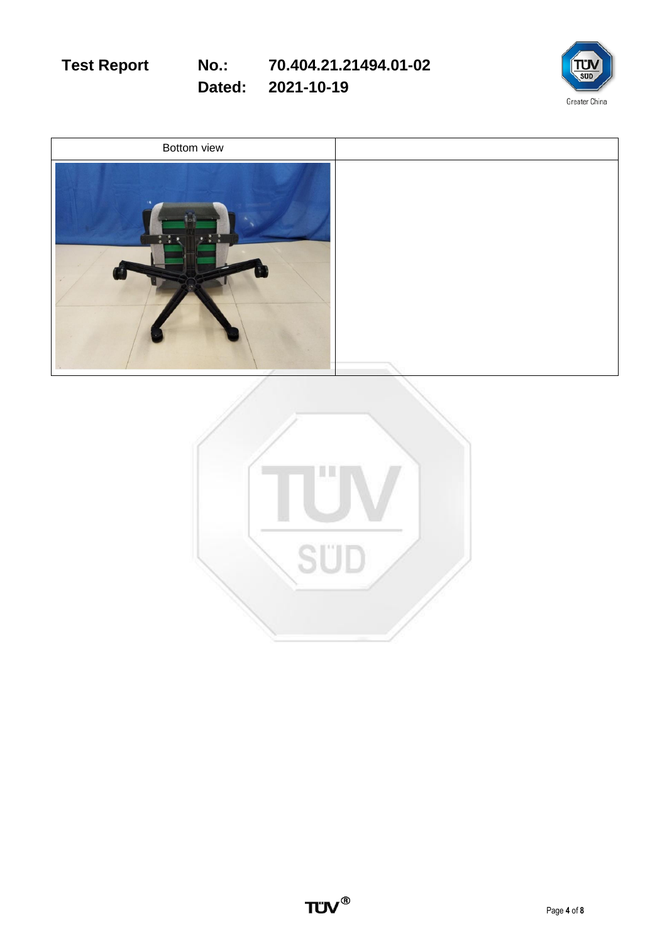

**Dated: 2021-10-19**



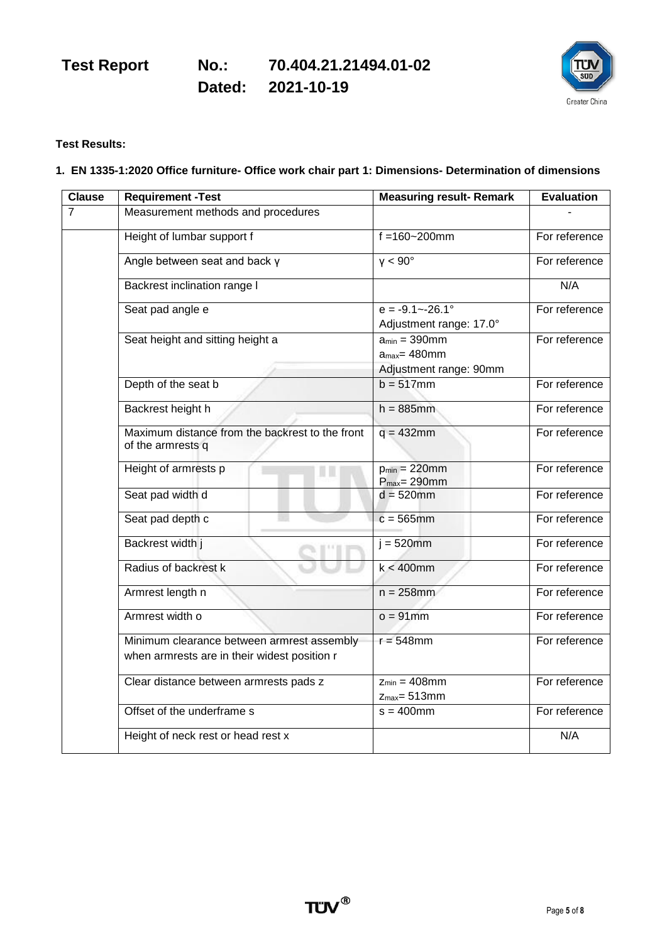Greater China

**Dated: 2021-10-19**

### **Test Results:**

### **1. EN 1335-1:2020 Office furniture- Office work chair part 1: Dimensions- Determination of dimensions**

| <b>Clause</b>  | <b>Requirement -Test</b>                                                                   | <b>Measuring result- Remark</b>                                   | <b>Evaluation</b> |
|----------------|--------------------------------------------------------------------------------------------|-------------------------------------------------------------------|-------------------|
| $\overline{7}$ | Measurement methods and procedures                                                         |                                                                   |                   |
|                | Height of lumbar support f                                                                 | $f = 160 - 200$ mm                                                | For reference     |
|                | Angle between seat and back y                                                              | $v < 90^\circ$                                                    | For reference     |
|                | Backrest inclination range I                                                               |                                                                   | N/A               |
|                | Seat pad angle e                                                                           | $e = -9.1 - -26.1^{\circ}$<br>Adjustment range: 17.0°             | For reference     |
|                | Seat height and sitting height a                                                           | $a_{min} = 390$ mm<br>$a_{max}$ = 480mm<br>Adjustment range: 90mm | For reference     |
|                | Depth of the seat b                                                                        | $b = 517$ mm                                                      | For reference     |
|                | Backrest height h                                                                          | $h = 885$ mm                                                      | For reference     |
|                | Maximum distance from the backrest to the front<br>of the armrests q                       | $q = 432$ mm                                                      | For reference     |
|                | Height of armrests p<br>u u                                                                | $p_{min} = 220$ mm<br>$P_{max} = 290$ mm                          | For reference     |
|                | Seat pad width d                                                                           | $d = 520$ mm                                                      | For reference     |
|                | Seat pad depth c                                                                           | $c = 565$ mm                                                      | For reference     |
|                | Backrest width j                                                                           | $i = 520$ mm                                                      | For reference     |
|                | Radius of backrest k                                                                       | $k < 400$ mm                                                      | For reference     |
|                | Armrest length n                                                                           | $n = 258$ mm                                                      | For reference     |
|                | Armrest width o                                                                            | $o = 91$ mm                                                       | For reference     |
|                | Minimum clearance between armrest assembly<br>when armrests are in their widest position r | $r = 548$ mm                                                      | For reference     |
|                | Clear distance between armrests pads z                                                     | $Z_{min} = 408$ mm<br>$z_{max} = 513$ mm                          | For reference     |
|                | Offset of the underframe s                                                                 | $s = 400$ mm                                                      | For reference     |
|                | Height of neck rest or head rest x                                                         |                                                                   | N/A               |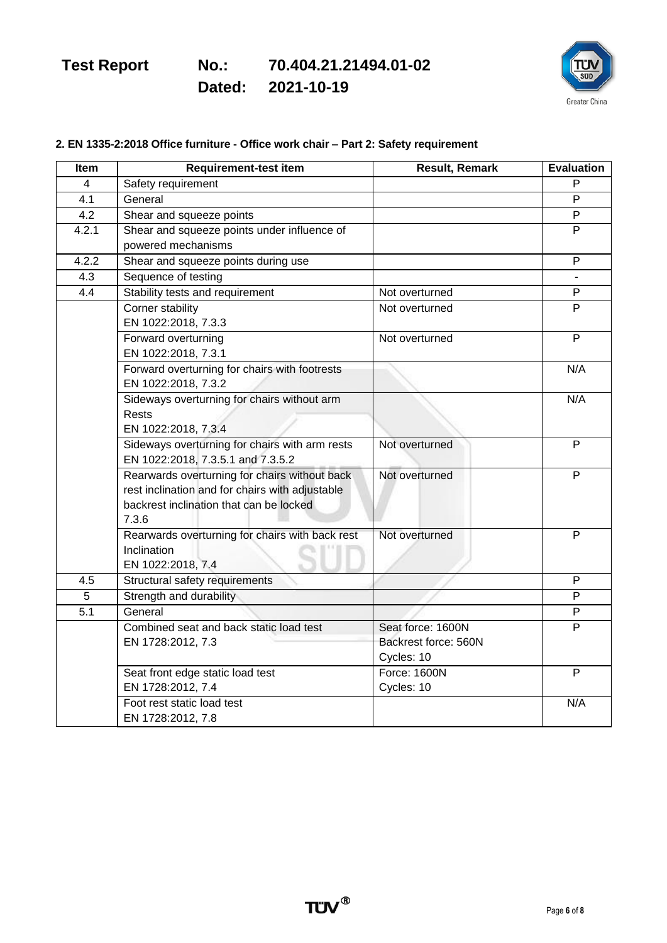**Dated: 2021-10-19**



### **2. EN 1335-2:2018 Office furniture - Office work chair – Part 2: Safety requirement**

| Item  | <b>Requirement-test item</b>                                                                                                                         | <b>Result, Remark</b> | <b>Evaluation</b> |
|-------|------------------------------------------------------------------------------------------------------------------------------------------------------|-----------------------|-------------------|
| 4     | Safety requirement                                                                                                                                   |                       | P                 |
| 4.1   | General                                                                                                                                              |                       | P                 |
| 4.2   | Shear and squeeze points                                                                                                                             |                       | P                 |
| 4.2.1 | Shear and squeeze points under influence of                                                                                                          |                       | P                 |
|       | powered mechanisms                                                                                                                                   |                       |                   |
| 4.2.2 | Shear and squeeze points during use                                                                                                                  |                       | P                 |
| 4.3   | Sequence of testing                                                                                                                                  |                       |                   |
| 4.4   | Stability tests and requirement                                                                                                                      | Not overturned        | P                 |
|       | Corner stability<br>EN 1022:2018, 7.3.3                                                                                                              | Not overturned        | P                 |
|       | Forward overturning<br>EN 1022:2018, 7.3.1                                                                                                           | Not overturned        | $\overline{P}$    |
|       | Forward overturning for chairs with footrests<br>EN 1022:2018, 7.3.2                                                                                 |                       | N/A               |
|       | Sideways overturning for chairs without arm<br>Rests<br>EN 1022:2018, 7.3.4                                                                          |                       | N/A               |
|       | Sideways overturning for chairs with arm rests<br>EN 1022:2018, 7.3.5.1 and 7.3.5.2                                                                  | Not overturned        | P                 |
|       | Rearwards overturning for chairs without back<br>rest inclination and for chairs with adjustable<br>backrest inclination that can be locked<br>7.3.6 | Not overturned        | P                 |
|       | Rearwards overturning for chairs with back rest<br>Inclination<br>EN 1022:2018, 7.4                                                                  | Not overturned        | P                 |
| 4.5   | Structural safety requirements                                                                                                                       |                       | P                 |
| 5     | Strength and durability                                                                                                                              |                       | P                 |
| 5.1   | General                                                                                                                                              |                       | P                 |
|       | Combined seat and back static load test                                                                                                              | Seat force: 1600N     | P                 |
|       | EN 1728:2012, 7.3                                                                                                                                    | Backrest force: 560N  |                   |
|       |                                                                                                                                                      | Cycles: 10            |                   |
|       | Seat front edge static load test                                                                                                                     | Force: 1600N          | P                 |
|       | EN 1728:2012, 7.4                                                                                                                                    | Cycles: 10            |                   |
|       | Foot rest static load test                                                                                                                           |                       | N/A               |
|       | EN 1728:2012, 7.8                                                                                                                                    |                       |                   |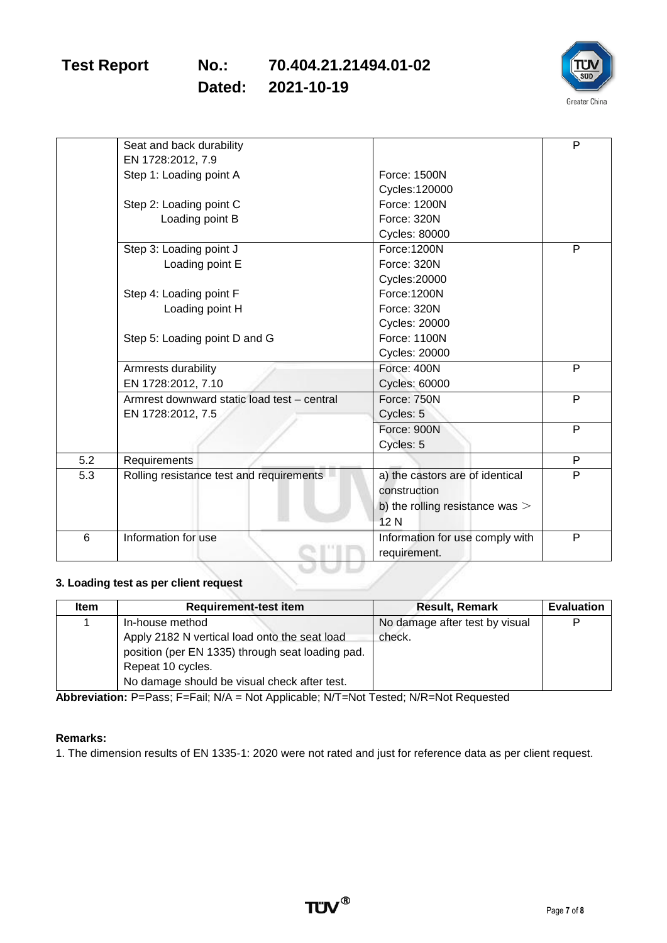**Dated: 2021-10-19**



| Seat and back durability                    |                                   | P |
|---------------------------------------------|-----------------------------------|---|
|                                             |                                   |   |
| EN 1728:2012, 7.9                           |                                   |   |
| Step 1: Loading point A                     | Force: 1500N                      |   |
|                                             | Cycles: 120000                    |   |
|                                             | Force: 1200N                      |   |
| Loading point B                             | Force: 320N                       |   |
|                                             | <b>Cycles: 80000</b>              |   |
| Step 3: Loading point J                     | Force: 1200N                      | P |
| Loading point E                             | Force: 320N                       |   |
|                                             | Cycles: 20000                     |   |
| Step 4: Loading point F                     | Force: 1200N                      |   |
| Loading point H                             | Force: 320N                       |   |
|                                             | <b>Cycles: 20000</b>              |   |
| Step 5: Loading point D and G               | Force: 1100N                      |   |
|                                             | <b>Cycles: 20000</b>              |   |
| Armrests durability                         | Force: 400N                       | P |
| EN 1728:2012, 7.10                          | <b>Cycles: 60000</b>              |   |
| Armrest downward static load test - central | Force: 750N                       | P |
| EN 1728:2012, 7.5                           | Cycles: 5                         |   |
|                                             | Force: 900N                       | P |
|                                             | Cycles: 5                         |   |
| Requirements                                |                                   | P |
| Rolling resistance test and requirements    | a) the castors are of identical   | P |
|                                             | construction                      |   |
|                                             | b) the rolling resistance was $>$ |   |
|                                             | 12N                               |   |
| Information for use                         | Information for use comply with   | P |
|                                             | requirement.                      |   |
|                                             | Step 2: Loading point C           |   |

#### **3. Loading test as per client request**

| <b>Item</b> | <b>Requirement-test item</b>                                                                                         | <b>Result, Remark</b>                    | <b>Evaluation</b> |
|-------------|----------------------------------------------------------------------------------------------------------------------|------------------------------------------|-------------------|
|             | In-house method<br>Apply 2182 N vertical load onto the seat load<br>position (per EN 1335) through seat loading pad. | No damage after test by visual<br>check. | Þ                 |
|             | Repeat 10 cycles.<br>No damage should be visual check after test.                                                    |                                          |                   |

Abbreviation: P=Pass; F=Fail; N/A = Not Applicable; N/T=Not Tested; N/R=Not Requested

### **Remarks:**

1. The dimension results of EN 1335-1: 2020 were not rated and just for reference data as per client request.